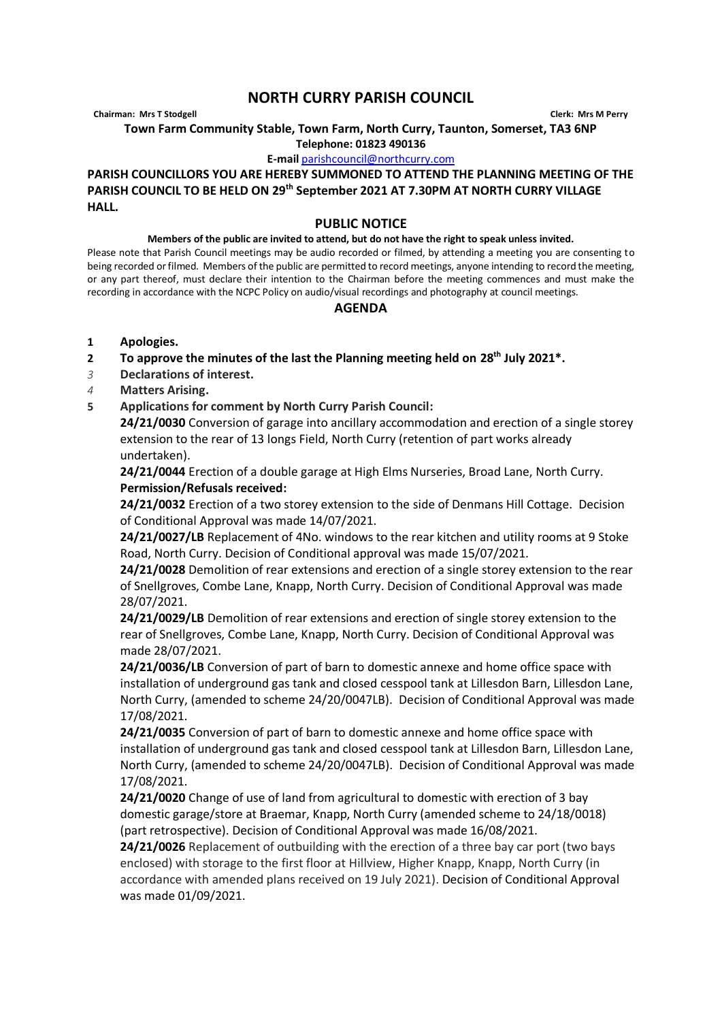## **NORTH CURRY PARISH COUNCIL**

**Chairman: Mrs T Stodgell Clerk: Mrs M Perry**

**Town Farm Community Stable, Town Farm, North Curry, Taunton, Somerset, TA3 6NP**

**Telephone: 01823 490136**

**E-mail** [parishcouncil@northcurry.com](mailto:parishcouncil@northcurry.com)

**PARISH COUNCILLORS YOU ARE HEREBY SUMMONED TO ATTEND THE PLANNING MEETING OF THE PARISH COUNCIL TO BE HELD ON 29th September 2021 AT 7.30PM AT NORTH CURRY VILLAGE HALL.** 

## **PUBLIC NOTICE**

## **Members of the public are invited to attend, but do not have the right to speak unless invited.**

Please note that Parish Council meetings may be audio recorded or filmed, by attending a meeting you are consenting to being recorded or filmed. Members of the public are permitted to record meetings, anyone intending to record the meeting, or any part thereof, must declare their intention to the Chairman before the meeting commences and must make the recording in accordance with the NCPC Policy on audio/visual recordings and photography at council meetings.

## **AGENDA**

- **1 Apologies.**
- **2 To approve the minutes of the last the Planning meeting held on 28th July 2021\*.**
- *3* **Declarations of interest.**
- *4* **Matters Arising.**
- **5 Applications for comment by North Curry Parish Council:**

**24/21/0030** Conversion of garage into ancillary accommodation and erection of a single storey extension to the rear of 13 longs Field, North Curry (retention of part works already undertaken).

**24/21/0044** Erection of a double garage at High Elms Nurseries, Broad Lane, North Curry. **Permission/Refusals received:**

**24/21/0032** Erection of a two storey extension to the side of Denmans Hill Cottage. Decision of Conditional Approval was made 14/07/2021.

**24/21/0027/LB** Replacement of 4No. windows to the rear kitchen and utility rooms at 9 Stoke Road, North Curry. Decision of Conditional approval was made 15/07/2021.

**24/21/0028** Demolition of rear extensions and erection of a single storey extension to the rear of Snellgroves, Combe Lane, Knapp, North Curry. Decision of Conditional Approval was made 28/07/2021.

**24/21/0029/LB** Demolition of rear extensions and erection of single storey extension to the rear of Snellgroves, Combe Lane, Knapp, North Curry. Decision of Conditional Approval was made 28/07/2021.

**24/21/0036/LB** Conversion of part of barn to domestic annexe and home office space with installation of underground gas tank and closed cesspool tank at Lillesdon Barn, Lillesdon Lane, North Curry, (amended to scheme 24/20/0047LB). Decision of Conditional Approval was made 17/08/2021.

**24/21/0035** Conversion of part of barn to domestic annexe and home office space with installation of underground gas tank and closed cesspool tank at Lillesdon Barn, Lillesdon Lane, North Curry, (amended to scheme 24/20/0047LB). Decision of Conditional Approval was made 17/08/2021.

**24/21/0020** Change of use of land from agricultural to domestic with erection of 3 bay domestic garage/store at Braemar, Knapp, North Curry (amended scheme to 24/18/0018) (part retrospective). Decision of Conditional Approval was made 16/08/2021.

**24/21/0026** Replacement of outbuilding with the erection of a three bay car port (two bays enclosed) with storage to the first floor at Hillview, Higher Knapp, Knapp, North Curry (in accordance with amended plans received on 19 July 2021). Decision of Conditional Approval was made 01/09/2021.